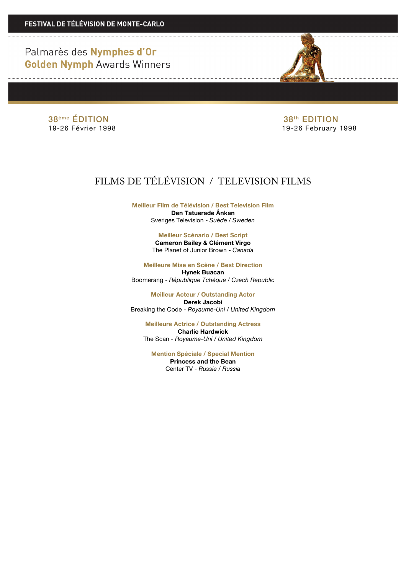Palmarès des Nymphes d'Or **Golden Nymph Awards Winners** 

38<sup>ème</sup> ÉDITION 38<sup>ème</sup> ÉDITION<br>19-26 Février 1998 **19-26 E**bruary 19-26 February 1998

## FILMS DE TÉLÉVISION / TELEVISION FILMS

**Meilleur Film de Télévision / Best Television Film Den Tatuerade Ânkan** Sveriges Television - *Suède / Sweden*

> **Meilleur Scénario / Best Script Cameron Bailey & Clément Virgo** The Planet of Junior Brown - *Canada*

**Meilleure Mise en Scène / Best Direction Hynek Buacan** Boomerang - *République Tchèque / Czech Republic*

**Meilleur Acteur / Outstanding Actor Derek Jacobi** Breaking the Code - *Royaume-Uni / United Kingdom*

**Meilleure Actrice / Outstanding Actress Charlie Hardwick** The Scan - *Royaume-Uni / United Kingdom*

**Mention Spéciale / Special Mention Princess and the Bean** Center TV - *Russie / Russia*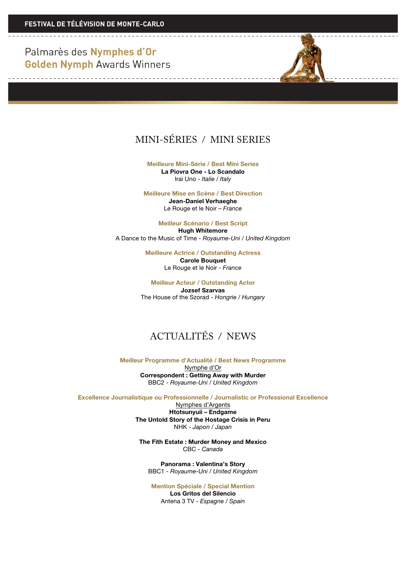Palmarès des Nymphes d'Or **Golden Nymph Awards Winners** 

<u> De la Carlo de la Carlo de la Ca</u>



**Meilleure Mini-Série / Best Mini Series**

**La Piovra One - Lo Scandalo** Irai Uno - *Italie / Italy*

**Meilleure Mise en Scène / Best Direction**

**Jean-Daniel Verhaeghe** Le Rouge et le Noir – *France*

**Meilleur Scénario / Best Script Hugh Whitemore** A Dance to the Music of Time - *Royaume-Uni / United Kingdom*

> **Meilleure Actrice / Outstanding Actress Carole Bouquet** Le Rouge et le Noir - *France*

**Meilleur Acteur / Outstanding Actor Jozsef Szarvas** The House of the Szorad - *Hongrie / Hungary*

## ACTUALITÉS / NEWS

**Meilleur Programme d'Actualité / Best News Programme**

Nymphe d'Or **Correspondent : Getting Away with Murder** BBC2 - *Royaume-Uni / United Kingdom*

**Excellence Journalistique ou Professionnelle / Journalistic or Professional Excellence**

Nymphes d'Argents **Htotsunyuii – Endgame The Untold Story of the Hostage Crisis in Peru** NHK - *Japon / Japan*

**The Fith Estate : Murder Money and Mexico** CBC - *Canada*

**Panorama : Valentina's Story** BBC1 - *Royaume-Uni / United Kingdom*

**Mention Spéciale / Special Mention Los Gritos del Silencio** Antena 3 TV - *Espagne / Spain*